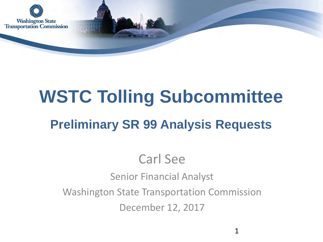

# **WSTC Tolling Subcommittee Preliminary SR 99 Analysis Requests**

### Carl See

Senior Financial Analyst

Washington State Transportation Commission

December 12, 2017

1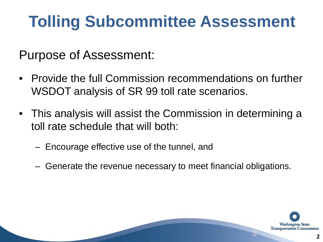# **Tolling Subcommittee Assessment**

Purpose of Assessment:

- Provide the full Commission recommendations on further WSDOT analysis of SR 99 toll rate scenarios.
- This analysis will assist the Commission in determining a toll rate schedule that will both:
	- Encourage effective use of the tunnel, and
	- Generate the revenue necessary to meet financial obligations.

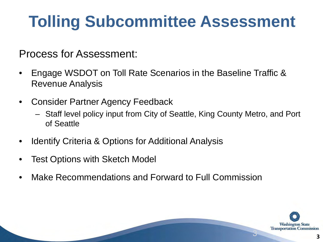# **Tolling Subcommittee Assessment**

Process for Assessment:

- Engage WSDOT on Toll Rate Scenarios in the Baseline Traffic & Revenue Analysis
- Consider Partner Agency Feedback
	- Staff level policy input from City of Seattle, King County Metro, and Port of Seattle
- Identify Criteria & Options for Additional Analysis
- Test Options with Sketch Model
- Make Recommendations and Forward to Full Commission

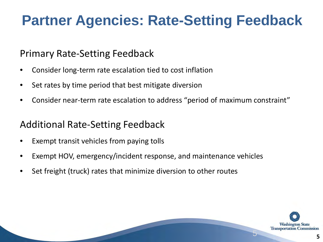### **Partner Agencies: Rate-Setting Feedback**

#### Primary Rate-Setting Feedback

- Consider long-term rate escalation tied to cost inflation
- Set rates by time period that best mitigate diversion
- Consider near-term rate escalation to address "period of maximum constraint"

#### Additional Rate-Setting Feedback

- Exempt transit vehicles from paying tolls
- Exempt HOV, emergency/incident response, and maintenance vehicles
- Set freight (truck) rates that minimize diversion to other routes

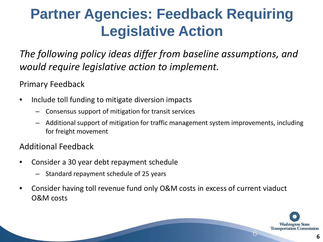### **Partner Agencies: Feedback Requiring Legislative Action**

*The following policy ideas differ from baseline assumptions, and would require legislative action to implement.*

Primary Feedback

- Include toll funding to mitigate diversion impacts
	- Consensus support of mitigation for transit services
	- Additional support of mitigation for traffic management system improvements, including for freight movement

#### Additional Feedback

- Consider a 30 year debt repayment schedule
	- Standard repayment schedule of 25 years
- Consider having toll revenue fund only O&M costs in excess of current viaduct O&M costs

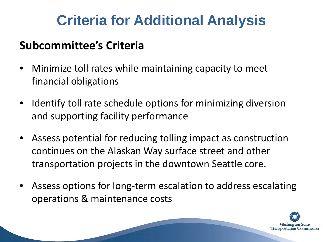### **Criteria for Additional Analysis**

#### **Subcommittee's Criteria**

- Minimize toll rates while maintaining capacity to meet financial obligations
- Identify toll rate schedule options for minimizing diversion and supporting facility performance
- Assess potential for reducing tolling impact as construction continues on the Alaskan Way surface street and other transportation projects in the downtown Seattle core.
- Assess options for long-term escalation to address escalating operations & maintenance costs

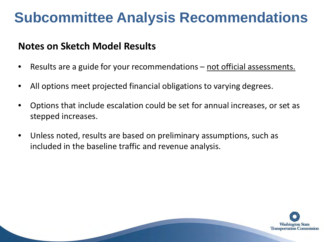#### **Notes on Sketch Model Results**

- Results are a guide for your recommendations not official assessments.
- All options meet projected financial obligations to varying degrees.
- Options that include escalation could be set for annual increases, or set as stepped increases.
- Unless noted, results are based on preliminary assumptions, such as included in the baseline traffic and revenue analysis.

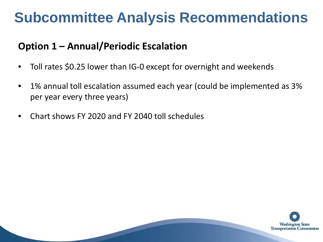#### **Option 1 – Annual/Periodic Escalation**

- Toll rates \$0.25 lower than IG-0 except for overnight and weekends
- 1% annual toll escalation assumed each year (could be implemented as 3% per year every three years)
- Chart shows FY 2020 and FY 2040 toll schedules

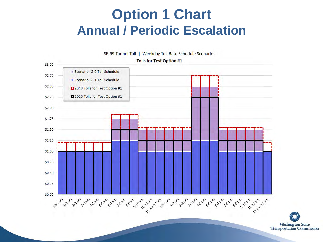### **Option 1 Chart Annual / Periodic Escalation**

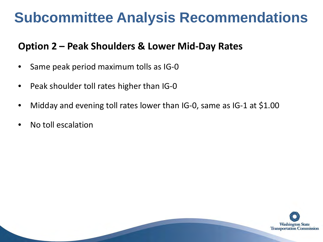#### **Option 2 – Peak Shoulders & Lower Mid-Day Rates**

- Same peak period maximum tolls as IG-0
- Peak shoulder toll rates higher than IG-0
- Midday and evening toll rates lower than IG-0, same as IG-1 at \$1.00
- No toll escalation

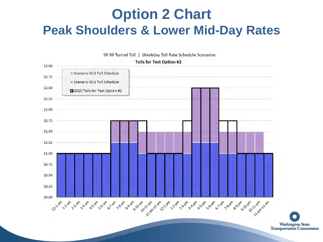### **Option 2 Chart Peak Shoulders & Lower Mid-Day Rates**

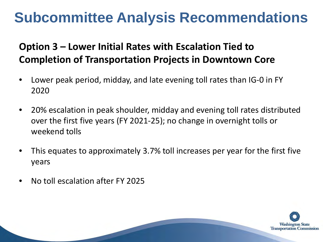#### **Option 3 – Lower Initial Rates with Escalation Tied to Completion of Transportation Projects in Downtown Core**

- Lower peak period, midday, and late evening toll rates than IG-0 in FY 2020
- 20% escalation in peak shoulder, midday and evening toll rates distributed over the first five years (FY 2021-25); no change in overnight tolls or weekend tolls
- This equates to approximately 3.7% toll increases per year for the first five years
- No toll escalation after FY 2025

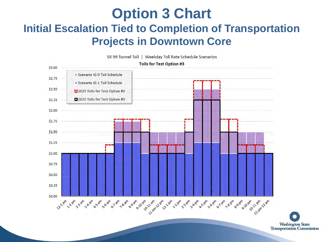#### **Option 3 Chart Initial Escalation Tied to Completion of Transportation Projects in Downtown Core**

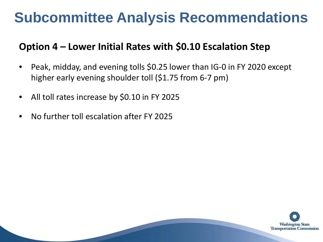#### **Option 4 – Lower Initial Rates with \$0.10 Escalation Step**

- Peak, midday, and evening tolls \$0.25 lower than IG-0 in FY 2020 except higher early evening shoulder toll (\$1.75 from 6-7 pm)
- All toll rates increase by \$0.10 in FY 2025
- No further toll escalation after FY 2025

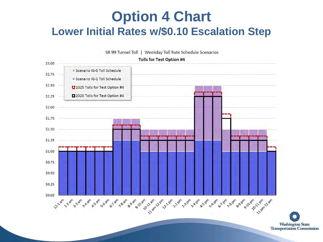### **Option 4 Chart Lower Initial Rates w/\$0.10 Escalation Step**

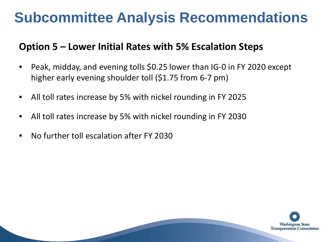#### **Option 5 – Lower Initial Rates with 5% Escalation Steps**

- Peak, midday, and evening tolls \$0.25 lower than IG-0 in FY 2020 except higher early evening shoulder toll (\$1.75 from 6-7 pm)
- All toll rates increase by 5% with nickel rounding in FY 2025
- All toll rates increase by 5% with nickel rounding in FY 2030
- No further toll escalation after FY 2030

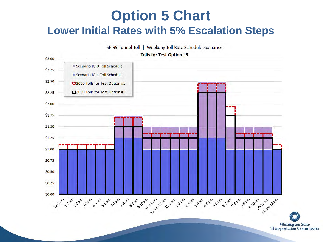#### **Option 5 Chart Lower Initial Rates with 5% Escalation Steps**

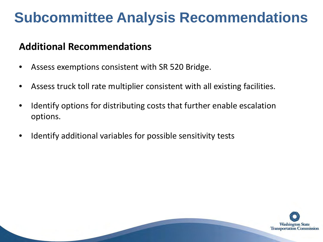#### **Additional Recommendations**

- Assess exemptions consistent with SR 520 Bridge.
- Assess truck toll rate multiplier consistent with all existing facilities.
- Identify options for distributing costs that further enable escalation options.
- Identify additional variables for possible sensitivity tests